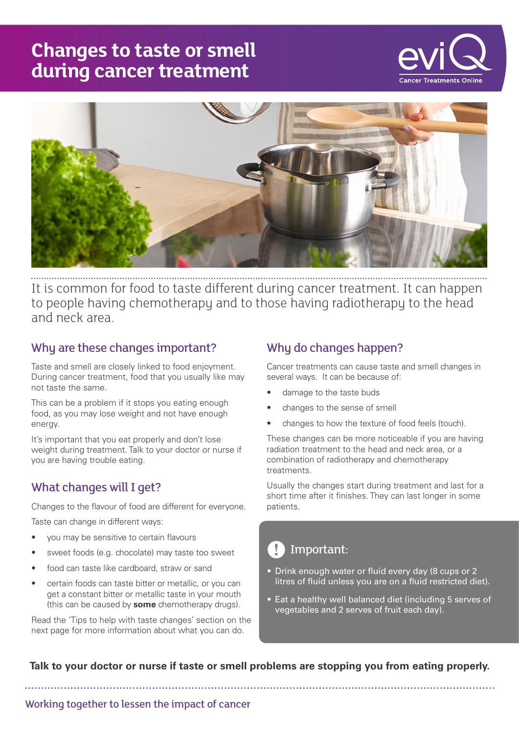# **Changes to taste or smell during cancer treatment**





It is common for food to taste different during cancer treatment. It can happen to people having chemotherapy and to those having radiotherapy to the head and neck area.

## Why are these changes important?

Taste and smell are closely linked to food enjoyment. During cancer treatment, food that you usually like may not taste the same.

This can be a problem if it stops you eating enough food, as you may lose weight and not have enough energy.

It's important that you eat properly and don't lose weight during treatment. Talk to your doctor or nurse if you are having trouble eating.

## What changes will I get?

Changes to the flavour of food are different for everyone.

Taste can change in different ways:

- you may be sensitive to certain flavours
- sweet foods (e.g. chocolate) may taste too sweet
- food can taste like cardboard, straw or sand
- certain foods can taste bitter or metallic, or you can get a constant bitter or metallic taste in your mouth (this can be caused by **some** chemotherapy drugs).

Read the 'Tips to help with taste changes' section on the next page for more information about what you can do.

# Why do changes happen?

Cancer treatments can cause taste and smell changes in several ways. It can be because of:

- damage to the taste buds
- changes to the sense of smell
- changes to how the texture of food feels (touch).

These changes can be more noticeable if you are having radiation treatment to the head and neck area, or a combination of radiotherapy and chemotherapy treatments.

Usually the changes start during treatment and last for a short time after it finishes. They can last longer in some patients.

# Important:

- Drink enough water or fluid every day (8 cups or 2 litres of fluid unless you are on a fluid restricted diet).
- Eat a healthy well balanced diet (including 5 serves of vegetables and 2 serves of fruit each day).

**Talk to your doctor or nurse if taste or smell problems are stopping you from eating properly.**

Working together to lessen the impact of cancer